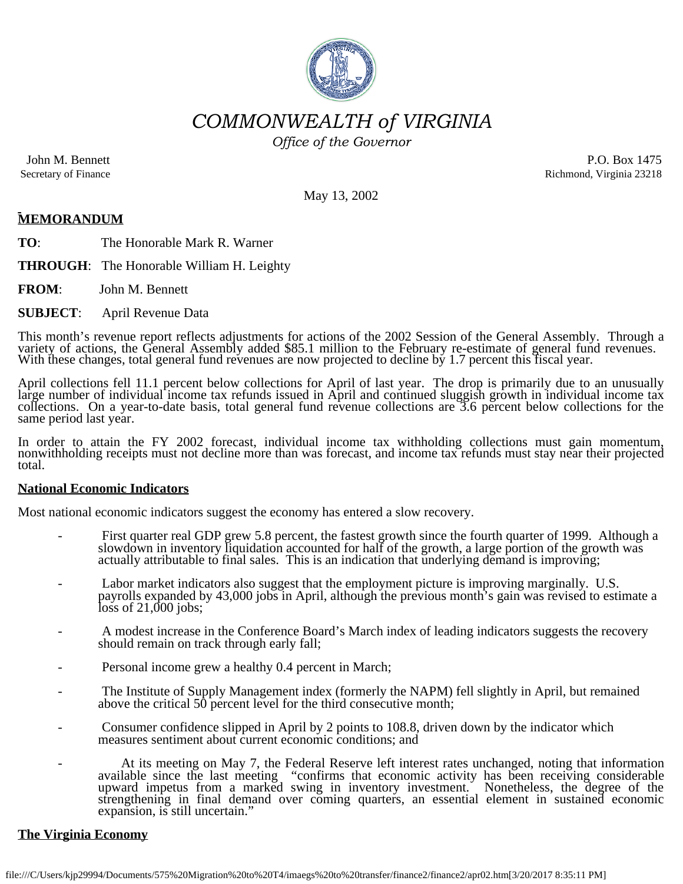

*COMMONWEALTH of VIRGINIA*

*Office of the Governor*

John M. Bennett Secretary of Finance

P.O. Box 1475 Richmond, Virginia 23218

May 13, 2002

# **MEMORANDUM**

**TO**: The Honorable Mark R. Warner

**THROUGH**: The Honorable William H. Leighty

**FROM**: John M. Bennett

**SUBJECT**: April Revenue Data

This month's revenue report reflects adjustments for actions of the 2002 Session of the General Assembly. Through a variety of actions, the General Assembly added \$85.1 million to the February re-estimate of general fund r

April collections fell 11.1 percent below collections for April of last year. The drop is primarily due to an unusually large number of individual income tax refunds issued in April and continued sluggish growth in individ same period last year.

In order to attain the FY 2002 forecast, individual income tax withholding collections must gain momentum, nonwithholding receipts must not decline more than was forecast, and income tax refunds must stay near their projec

## **National Economic Indicators**

Most national economic indicators suggest the economy has entered a slow recovery.

- First quarter real GDP grew 5.8 percent, the fastest growth since the fourth quarter of 1999. Although a slowdown in inventory liquidation accounted for half of the growth, a large portion of the growth was actually attributable to final sales. This is an indication that underlying demand is improving;
- Labor market indicators also suggest that the employment picture is improving marginally. U.S. payrolls expanded by 43,000 jobs in April, although the previous month's gain was revised to estimate a  $loss of 21,000 jobs;$
- A modest increase in the Conference Board's March index of leading indicators suggests the recovery should remain on track through early fall;
- Personal income grew a healthy 0.4 percent in March;
- The Institute of Supply Management index (formerly the NAPM) fell slightly in April, but remained above the critical 50 percent level for the third consecutive month;
- Consumer confidence slipped in April by 2 points to 108.8, driven down by the indicator which measures sentiment about current economic conditions; and
- At its meeting on May 7, the Federal Reserve left interest rates unchanged, noting that information available since the last meeting "confirms that economic activity has been receiving considerable uyward impetus from a marked swing in inventory investment. Nonetheless, the degree of the strengthening in final demand over coming quarters, an essential element in sustained economic expansion, is still uncertain."

## **The Virginia Economy**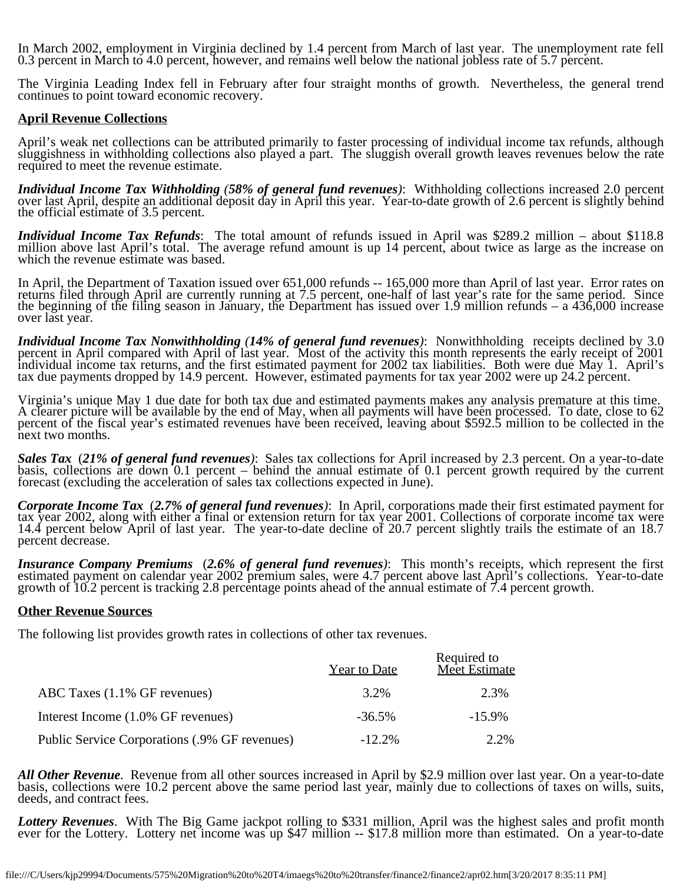In March 2002, employment in Virginia declined by 1.4 percent from March of last year. The unemployment rate fell 0.3 percent in March to 4.0 percent, however, and remains well below the national jobless rate of 5.7 percent.

The Virginia Leading Index fell in February after four straight months of growth. Nevertheless, the general trend continues to point toward economic recovery.

## **April Revenue Collections**

April's weak net collections can be attributed primarily to faster processing of individual income tax refunds, although<br>sluggishness in withholding collections also played a part. The sluggish overall growth leaves revenu required to meet the revenue estimate.

*Individual Income Tax Withholding (58% of general fund revenues)*: Withholding collections increased 2.0 percent over last April, despite an additional deposit day in April this year. Year-to-date growth of 2.6 percent is

*Individual Income Tax Refunds*: The total amount of refunds issued in April was \$289.2 million – about \$118.8 million above last April's total. The average refund amount is up 14 percent, about twice as large as the incre

In April, the Department of Taxation issued over 651,000 refunds -- 165,000 more than April of last year. Error rates on returns filed through April are currently running at 7.5 percent, one-half of last year's rate for the same period. Since the beginning of the filing season in January, the Department has issued over 1.9 million refunds – a 436,000 increase over last year.

*Individual Income Tax Nonwithholding (14% of general fund revenues)*: Nonwithholding receipts declined by 3.0 percent in April compared with April of last year. Most of the activity this month represents the early receipt tax due payments dropped by 14.9 percent. However, estimated payments for tax year 2002 were up 24.2 percent.

Virginia's unique May 1 due date for both tax due and estimated payments makes any analysis premature at this time.<br>A clearer picture will be available by the end of May, when all payments will have been processed. To date percent of the fiscal year's estimated revenues have been received, leaving about \$592.5 million to be collected in the next two months.

Sales Tax (21% of general fund revenues): Sales tax collections for April increased by 2.3 percent. On a year-to-date basis, collections are down 0.1 percent – behind the annual estimate of 0.1 percent growth required by

**Corporate Income Tax** (2.7% of general fund revenues): In April, corporations made their first estimated payment for tax year 2002, along with either a final or extension return for tax year 2001. Collections of corporate

*Insurance Company Premiums (2.6% of general fund revenues)*: This month's receipts, which represent the first estimated payment on calendar year 2002 premium sales, were 4.7 percent above last April's collections. Year-to growth of 10.2 percent is tracking 2.8 percentage points ahead of the annual estimate of 7.4 percent growth.

## **Other Revenue Sources**

The following list provides growth rates in collections of other tax revenues.

|                                               | <b>Year to Date</b> | Required to<br>Meet Estimate |
|-----------------------------------------------|---------------------|------------------------------|
| ABC Taxes (1.1% GF revenues)                  | 3.2%                | 2.3%                         |
| Interest Income (1.0% GF revenues)            | $-36.5\%$           | $-15.9\%$                    |
| Public Service Corporations (.9% GF revenues) | $-12.2\%$           | 2.2%                         |

All Other Revenue. Revenue from all other sources increased in April by \$2.9 million over last year. On a year-to-date basis, collections were 10.2 percent above the same period last year, mainly due to collections of taxe

Lottery Revenues. With The Big Game jackpot rolling to \$331 million, April was the highest sales and profit month ever for the Lottery. Lottery net income was up \$47 million -- \$17.8 million more than estimated. On a year-